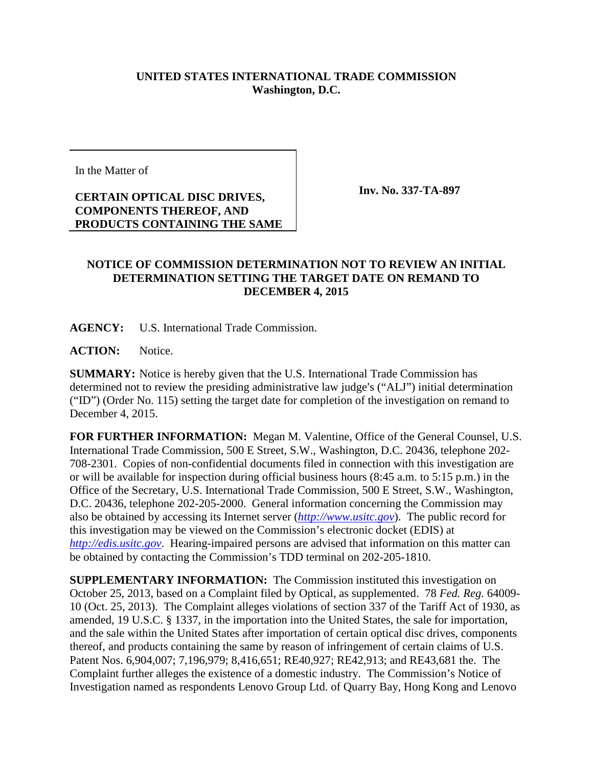## **UNITED STATES INTERNATIONAL TRADE COMMISSION Washington, D.C.**

In the Matter of

**CERTAIN OPTICAL DISC DRIVES, COMPONENTS THEREOF, AND PRODUCTS CONTAINING THE SAME** **Inv. No. 337-TA-897**

## **NOTICE OF COMMISSION DETERMINATION NOT TO REVIEW AN INITIAL DETERMINATION SETTING THE TARGET DATE ON REMAND TO DECEMBER 4, 2015**

**AGENCY:** U.S. International Trade Commission.

**ACTION:** Notice.

**SUMMARY:** Notice is hereby given that the U.S. International Trade Commission has determined not to review the presiding administrative law judge's ("ALJ") initial determination ("ID") (Order No. 115) setting the target date for completion of the investigation on remand to December 4, 2015.

**FOR FURTHER INFORMATION:** Megan M. Valentine, Office of the General Counsel, U.S. International Trade Commission, 500 E Street, S.W., Washington, D.C. 20436, telephone 202- 708-2301. Copies of non-confidential documents filed in connection with this investigation are or will be available for inspection during official business hours (8:45 a.m. to 5:15 p.m.) in the Office of the Secretary, U.S. International Trade Commission, 500 E Street, S.W., Washington, D.C. 20436, telephone 202-205-2000. General information concerning the Commission may also be obtained by accessing its Internet server (*[http://www.usitc.gov](http://www.usitc.gov/)*). The public record for this investigation may be viewed on the Commission's electronic docket (EDIS) at *[http://edis.usitc.gov](http://edis.usitc.gov/)*. Hearing-impaired persons are advised that information on this matter can be obtained by contacting the Commission's TDD terminal on 202-205-1810.

**SUPPLEMENTARY INFORMATION:** The Commission instituted this investigation on October 25, 2013, based on a Complaint filed by Optical, as supplemented. 78 *Fed. Reg.* 64009- 10 (Oct. 25, 2013). The Complaint alleges violations of section 337 of the Tariff Act of 1930, as amended, 19 U.S.C. § 1337, in the importation into the United States, the sale for importation, and the sale within the United States after importation of certain optical disc drives, components thereof, and products containing the same by reason of infringement of certain claims of U.S. Patent Nos. 6,904,007; 7,196,979; 8,416,651; RE40,927; RE42,913; and RE43,681 the. The Complaint further alleges the existence of a domestic industry. The Commission's Notice of Investigation named as respondents Lenovo Group Ltd. of Quarry Bay, Hong Kong and Lenovo